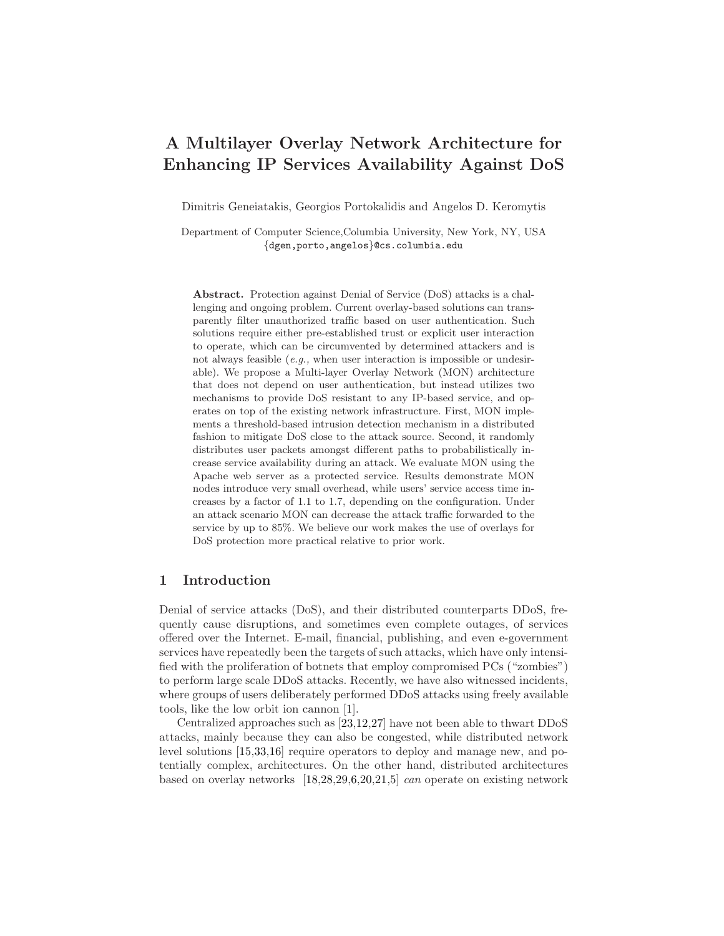# A Multilayer Overlay Network Architecture for Enhancing IP Services Availability Against DoS

Dimitris Geneiatakis, Georgios Portokalidis and Angelos D. Keromytis

Department of Computer Science,Columbia University, New York, NY, USA {dgen,porto,angelos}@cs.columbia.edu

Abstract. Protection against Denial of Service (DoS) attacks is a challenging and ongoing problem. Current overlay-based solutions can transparently filter unauthorized traffic based on user authentication. Such solutions require either pre-established trust or explicit user interaction to operate, which can be circumvented by determined attackers and is not always feasible (e.g., when user interaction is impossible or undesirable). We propose a Multi-layer Overlay Network (MON) architecture that does not depend on user authentication, but instead utilizes two mechanisms to provide DoS resistant to any IP-based service, and operates on top of the existing network infrastructure. First, MON implements a threshold-based intrusion detection mechanism in a distributed fashion to mitigate DoS close to the attack source. Second, it randomly distributes user packets amongst different paths to probabilistically increase service availability during an attack. We evaluate MON using the Apache web server as a protected service. Results demonstrate MON nodes introduce very small overhead, while users' service access time increases by a factor of 1.1 to 1.7, depending on the configuration. Under an attack scenario MON can decrease the attack traffic forwarded to the service by up to 85%. We believe our work makes the use of overlays for DoS protection more practical relative to prior work.

### 1 Introduction

Denial of service attacks (DoS), and their distributed counterparts DDoS, frequently cause disruptions, and sometimes even complete outages, of services offered over the Internet. E-mail, financial, publishing, and even e-government services have repeatedly been the targets of such attacks, which have only intensified with the proliferation of botnets that employ compromised PCs ("zombies") to perform large scale DDoS attacks. Recently, we have also witnessed incidents, where groups of users deliberately performed DDoS attacks using freely available tools, like the low orbit ion cannon [\[1\]](#page-13-0).

Centralized approaches such as [\[23,](#page-14-0)[12](#page-13-1)[,27\]](#page-14-1) have not been able to thwart DDoS attacks, mainly because they can also be congested, while distributed network level solutions [\[15,](#page-13-2)[33,](#page-14-2)[16\]](#page-13-3) require operators to deploy and manage new, and potentially complex, architectures. On the other hand, distributed architectures based on overlay networks [\[18](#page-14-3)[,28,](#page-14-4)[29,](#page-14-5)[6,](#page-13-4)[20,](#page-14-6)[21](#page-14-7)[,5\]](#page-13-5) can operate on existing network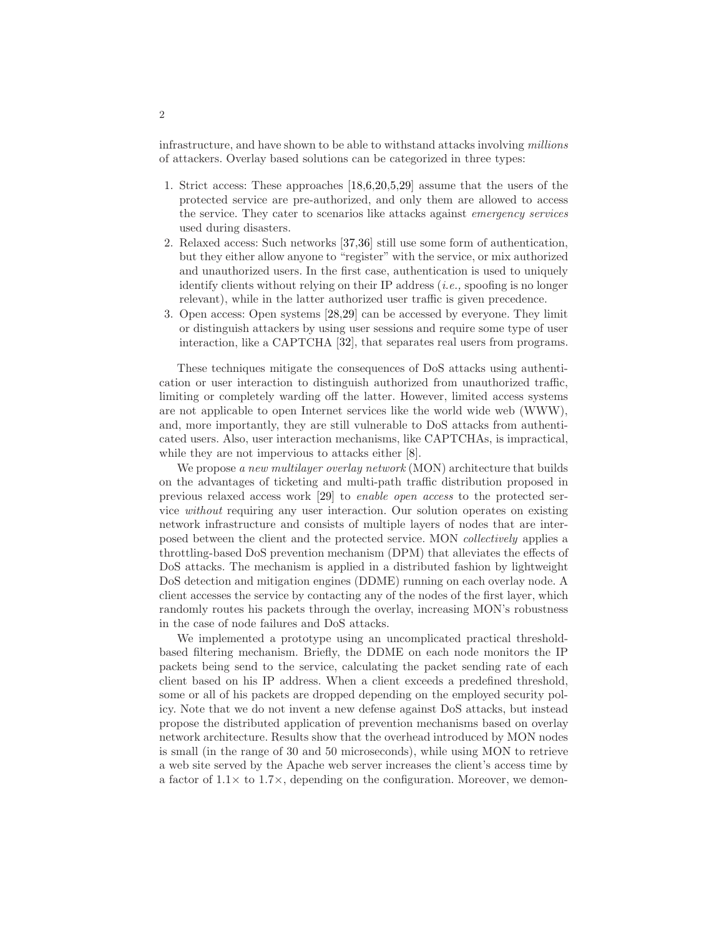infrastructure, and have shown to be able to withstand attacks involving millions of attackers. Overlay based solutions can be categorized in three types:

- 1. Strict access: These approaches [\[18](#page-14-3)[,6,](#page-13-4)[20](#page-14-6)[,5,](#page-13-5)[29\]](#page-14-5) assume that the users of the protected service are pre-authorized, and only them are allowed to access the service. They cater to scenarios like attacks against emergency services used during disasters.
- 2. Relaxed access: Such networks [\[37](#page-14-8)[,36\]](#page-14-9) still use some form of authentication, but they either allow anyone to "register" with the service, or mix authorized and unauthorized users. In the first case, authentication is used to uniquely identify clients without relying on their IP address  $(i.e.,$  spoofing is no longer relevant), while in the latter authorized user traffic is given precedence.
- 3. Open access: Open systems [\[28,](#page-14-4)[29\]](#page-14-5) can be accessed by everyone. They limit or distinguish attackers by using user sessions and require some type of user interaction, like a CAPTCHA [\[32\]](#page-14-10), that separates real users from programs.

These techniques mitigate the consequences of DoS attacks using authentication or user interaction to distinguish authorized from unauthorized traffic, limiting or completely warding off the latter. However, limited access systems are not applicable to open Internet services like the world wide web (WWW), and, more importantly, they are still vulnerable to DoS attacks from authenticated users. Also, user interaction mechanisms, like CAPTCHAs, is impractical, while they are not impervious to attacks either [\[8\]](#page-13-6).

We propose a new multilayer overlay network  $(MON)$  architecture that builds on the advantages of ticketing and multi-path traffic distribution proposed in previous relaxed access work [\[29\]](#page-14-5) to enable open access to the protected service without requiring any user interaction. Our solution operates on existing network infrastructure and consists of multiple layers of nodes that are interposed between the client and the protected service. MON collectively applies a throttling-based DoS prevention mechanism (DPM) that alleviates the effects of DoS attacks. The mechanism is applied in a distributed fashion by lightweight DoS detection and mitigation engines (DDME) running on each overlay node. A client accesses the service by contacting any of the nodes of the first layer, which randomly routes his packets through the overlay, increasing MON's robustness in the case of node failures and DoS attacks.

We implemented a prototype using an uncomplicated practical thresholdbased filtering mechanism. Briefly, the DDME on each node monitors the IP packets being send to the service, calculating the packet sending rate of each client based on his IP address. When a client exceeds a predefined threshold, some or all of his packets are dropped depending on the employed security policy. Note that we do not invent a new defense against DoS attacks, but instead propose the distributed application of prevention mechanisms based on overlay network architecture. Results show that the overhead introduced by MON nodes is small (in the range of 30 and 50 microseconds), while using MON to retrieve a web site served by the Apache web server increases the client's access time by a factor of  $1.1\times$  to  $1.7\times$ , depending on the configuration. Moreover, we demon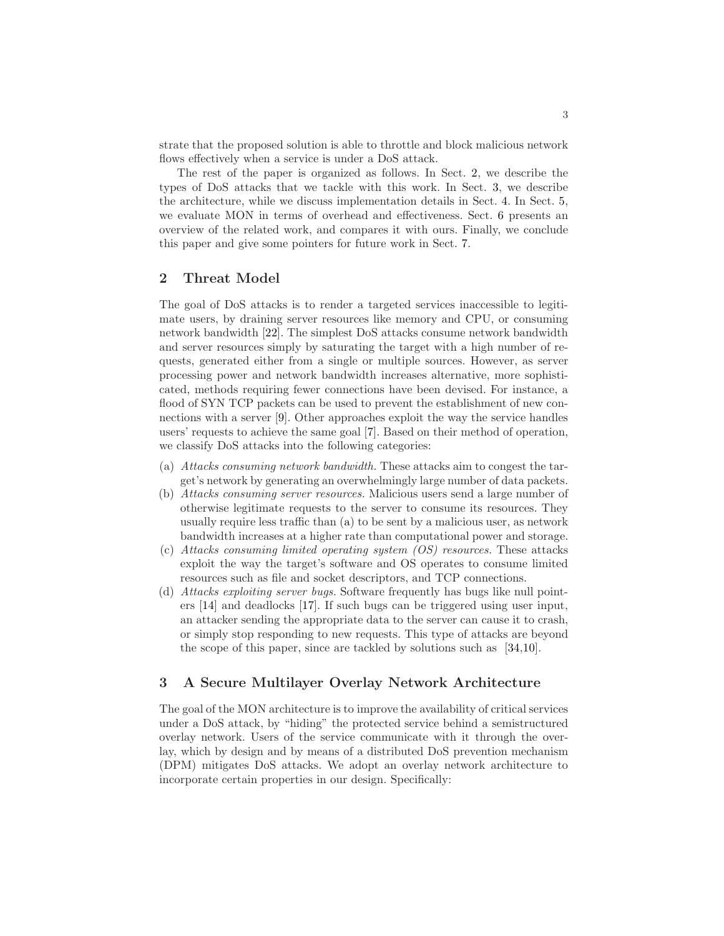strate that the proposed solution is able to throttle and block malicious network flows effectively when a service is under a DoS attack.

The rest of the paper is organized as follows. In Sect. [2,](#page-2-0) we describe the types of DoS attacks that we tackle with this work. In Sect. [3,](#page-2-1) we describe the architecture, while we discuss implementation details in Sect. [4.](#page-6-0) In Sect. [5,](#page-8-0) we evaluate MON in terms of overhead and effectiveness. Sect. [6](#page-11-0) presents an overview of the related work, and compares it with ours. Finally, we conclude this paper and give some pointers for future work in Sect. [7.](#page-12-0)

## <span id="page-2-0"></span>2 Threat Model

The goal of DoS attacks is to render a targeted services inaccessible to legitimate users, by draining server resources like memory and CPU, or consuming network bandwidth [\[22\]](#page-14-11). The simplest DoS attacks consume network bandwidth and server resources simply by saturating the target with a high number of requests, generated either from a single or multiple sources. However, as server processing power and network bandwidth increases alternative, more sophisticated, methods requiring fewer connections have been devised. For instance, a flood of SYN TCP packets can be used to prevent the establishment of new connections with a server [\[9\]](#page-13-7). Other approaches exploit the way the service handles users' requests to achieve the same goal [\[7\]](#page-13-8). Based on their method of operation, we classify DoS attacks into the following categories:

- <span id="page-2-2"></span>(a) Attacks consuming network bandwidth. These attacks aim to congest the target's network by generating an overwhelmingly large number of data packets.
- (b) Attacks consuming server resources. Malicious users send a large number of otherwise legitimate requests to the server to consume its resources. They usually require less traffic than [\(a\)](#page-2-2) to be sent by a malicious user, as network bandwidth increases at a higher rate than computational power and storage.
- (c) Attacks consuming limited operating system (OS) resources. These attacks exploit the way the target's software and OS operates to consume limited resources such as file and socket descriptors, and TCP connections.
- (d) Attacks exploiting server bugs. Software frequently has bugs like null pointers [\[14\]](#page-13-9) and deadlocks [\[17\]](#page-13-10). If such bugs can be triggered using user input, an attacker sending the appropriate data to the server can cause it to crash, or simply stop responding to new requests. This type of attacks are beyond the scope of this paper, since are tackled by solutions such as [\[34](#page-14-12)[,10\]](#page-13-11).

### <span id="page-2-1"></span>3 A Secure Multilayer Overlay Network Architecture

The goal of the MON architecture is to improve the availability of critical services under a DoS attack, by "hiding" the protected service behind a semistructured overlay network. Users of the service communicate with it through the overlay, which by design and by means of a distributed DoS prevention mechanism (DPM) mitigates DoS attacks. We adopt an overlay network architecture to incorporate certain properties in our design. Specifically: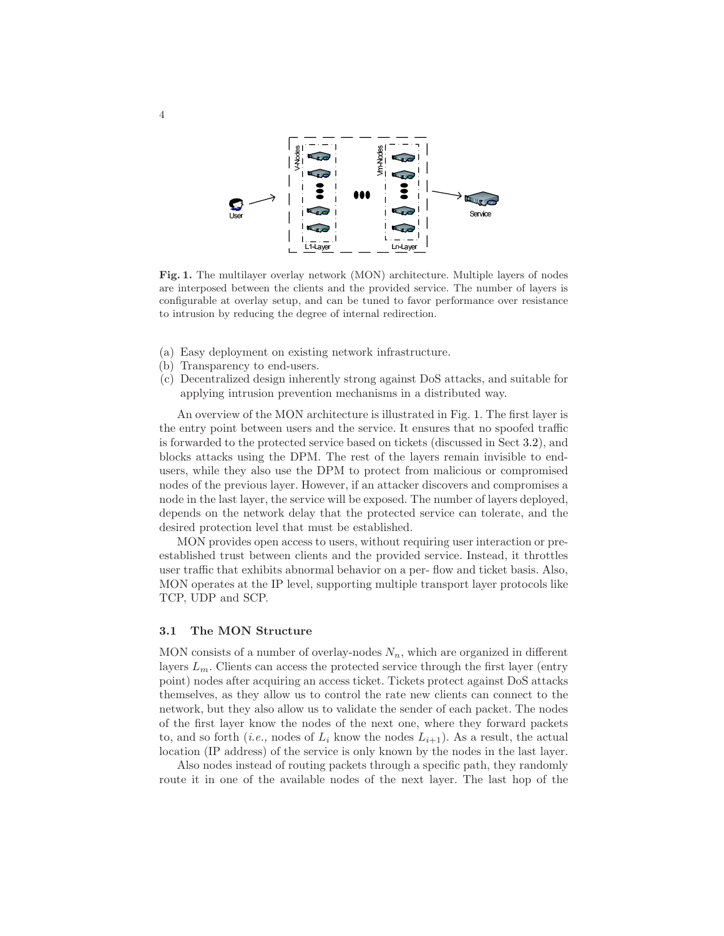

<span id="page-3-0"></span>Fig. 1. The multilayer overlay network (MON) architecture. Multiple layers of nodes are interposed between the clients and the provided service. The number of layers is configurable at overlay setup, and can be tuned to favor performance over resistance to intrusion by reducing the degree of internal redirection.

- (a) Easy deployment on existing network infrastructure.
- (b) Transparency to end-users.
- (c) Decentralized design inherently strong against DoS attacks, and suitable for applying intrusion prevention mechanisms in a distributed way.

An overview of the MON architecture is illustrated in Fig. [1.](#page-3-0) The first layer is the entry point between users and the service. It ensures that no spoofed traffic is forwarded to the protected service based on tickets (discussed in Sect [3.2\)](#page-4-0), and blocks attacks using the DPM. The rest of the layers remain invisible to endusers, while they also use the DPM to protect from malicious or compromised nodes of the previous layer. However, if an attacker discovers and compromises a node in the last layer, the service will be exposed. The number of layers deployed, depends on the network delay that the protected service can tolerate, and the desired protection level that must be established.

MON provides open access to users, without requiring user interaction or preestablished trust between clients and the provided service. Instead, it throttles user traffic that exhibits abnormal behavior on a per- flow and ticket basis. Also, MON operates at the IP level, supporting multiple transport layer protocols like TCP, UDP and SCP.

#### <span id="page-3-1"></span>3.1 The MON Structure

MON consists of a number of overlay-nodes  $N_n$ , which are organized in different layers  $L_m$ . Clients can access the protected service through the first layer (entry point) nodes after acquiring an access ticket. Tickets protect against DoS attacks themselves, as they allow us to control the rate new clients can connect to the network, but they also allow us to validate the sender of each packet. The nodes of the first layer know the nodes of the next one, where they forward packets to, and so forth (*i.e.*, nodes of  $L_i$  know the nodes  $L_{i+1}$ ). As a result, the actual location (IP address) of the service is only known by the nodes in the last layer.

Also nodes instead of routing packets through a specific path, they randomly route it in one of the available nodes of the next layer. The last hop of the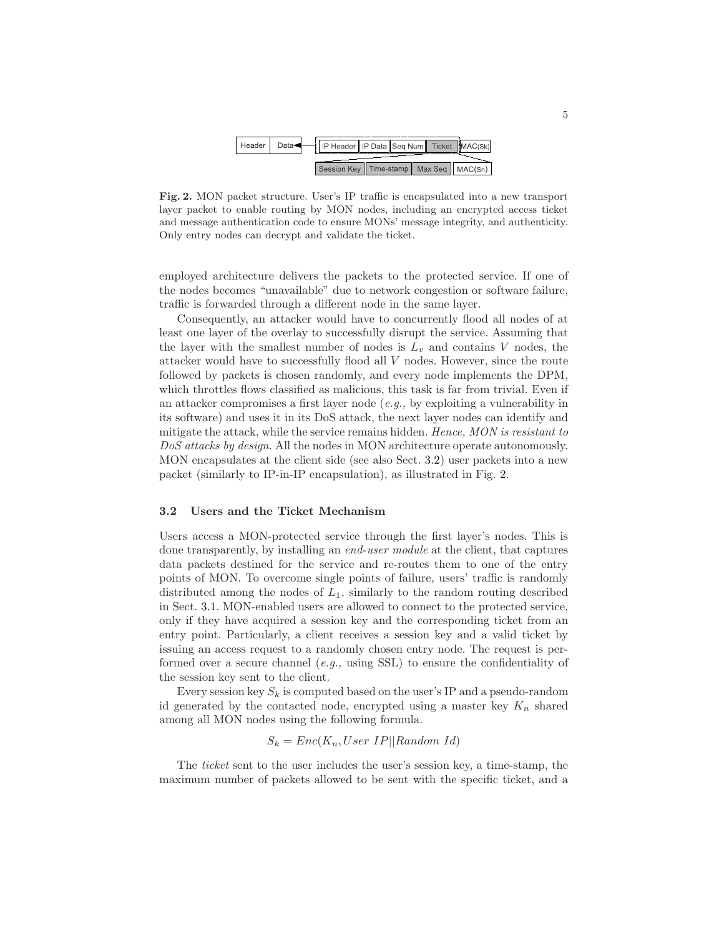| Header I |  | Data   IP Header   IP Data   Seq Num   Ticket   MAC(Sk) |  |  |  |  |  |  |
|----------|--|---------------------------------------------------------|--|--|--|--|--|--|
|          |  |                                                         |  |  |  |  |  |  |
|          |  | Session Key   Time-stamp   Max Seg   MAC(Sn)            |  |  |  |  |  |  |

<span id="page-4-1"></span>Fig. 2. MON packet structure. User's IP traffic is encapsulated into a new transport layer packet to enable routing by MON nodes, including an encrypted access ticket and message authentication code to ensure MONs' message integrity, and authenticity. Only entry nodes can decrypt and validate the ticket.

employed architecture delivers the packets to the protected service. If one of the nodes becomes "unavailable" due to network congestion or software failure, traffic is forwarded through a different node in the same layer.

Consequently, an attacker would have to concurrently flood all nodes of at least one layer of the overlay to successfully disrupt the service. Assuming that the layer with the smallest number of nodes is  $L_v$  and contains V nodes, the attacker would have to successfully flood all V nodes. However, since the route followed by packets is chosen randomly, and every node implements the DPM, which throttles flows classified as malicious, this task is far from trivial. Even if an attacker compromises a first layer node  $(e.g.,\) by exploiting a vulnerability in$ its software) and uses it in its DoS attack, the next layer nodes can identify and mitigate the attack, while the service remains hidden. Hence, MON is resistant to DoS attacks by design. All the nodes in MON architecture operate autonomously. MON encapsulates at the client side (see also Sect. [3.2\)](#page-4-0) user packets into a new packet (similarly to IP-in-IP encapsulation), as illustrated in Fig. [2.](#page-4-1)

#### <span id="page-4-0"></span>3.2 Users and the Ticket Mechanism

Users access a MON-protected service through the first layer's nodes. This is done transparently, by installing an end-user module at the client, that captures data packets destined for the service and re-routes them to one of the entry points of MON. To overcome single points of failure, users' traffic is randomly distributed among the nodes of  $L_1$ , similarly to the random routing described in Sect. [3.1.](#page-3-1) MON-enabled users are allowed to connect to the protected service, only if they have acquired a session key and the corresponding ticket from an entry point. Particularly, a client receives a session key and a valid ticket by issuing an access request to a randomly chosen entry node. The request is performed over a secure channel  $(e.g.,$  using SSL) to ensure the confidentiality of the session key sent to the client.

Every session key  $S_k$  is computed based on the user's IP and a pseudo-random id generated by the contacted node, encrypted using a master key  $K_n$  shared among all MON nodes using the following formula.

 $S_k = Enc(K_n, User IP||Random Id)$ 

The ticket sent to the user includes the user's session key, a time-stamp, the maximum number of packets allowed to be sent with the specific ticket, and a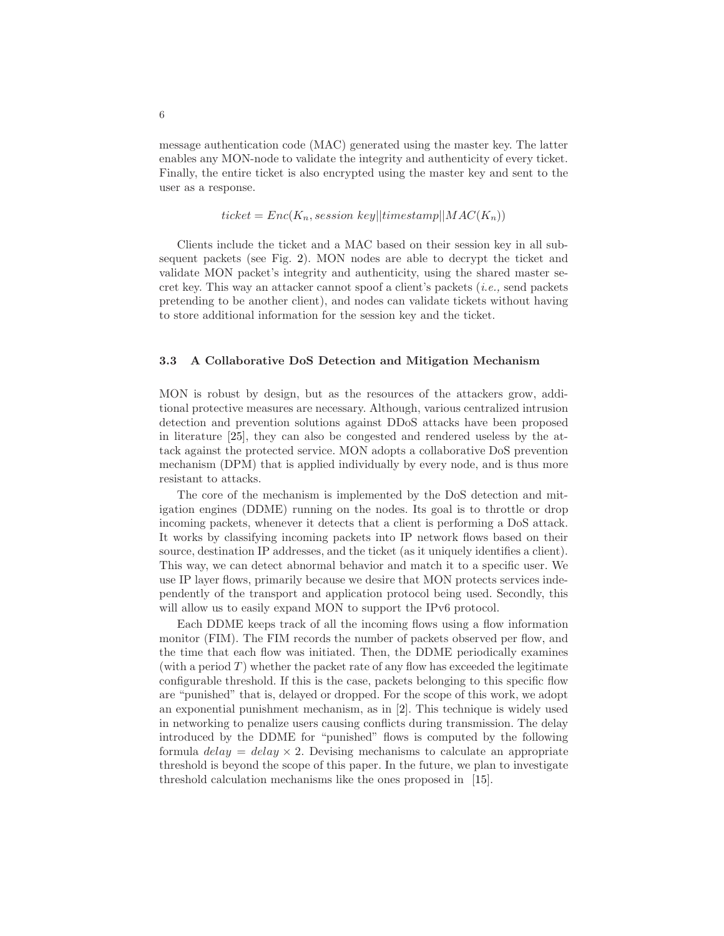message authentication code (MAC) generated using the master key. The latter enables any MON-node to validate the integrity and authenticity of every ticket. Finally, the entire ticket is also encrypted using the master key and sent to the user as a response.

$$
ticket = Enc(K_n, session key || timestamp || MAC(K_n))
$$

Clients include the ticket and a MAC based on their session key in all subsequent packets (see Fig. [2\)](#page-4-1). MON nodes are able to decrypt the ticket and validate MON packet's integrity and authenticity, using the shared master secret key. This way an attacker cannot spoof a client's packets (i.e., send packets pretending to be another client), and nodes can validate tickets without having to store additional information for the session key and the ticket.

### 3.3 A Collaborative DoS Detection and Mitigation Mechanism

MON is robust by design, but as the resources of the attackers grow, additional protective measures are necessary. Although, various centralized intrusion detection and prevention solutions against DDoS attacks have been proposed in literature [\[25\]](#page-14-13), they can also be congested and rendered useless by the attack against the protected service. MON adopts a collaborative DoS prevention mechanism (DPM) that is applied individually by every node, and is thus more resistant to attacks.

The core of the mechanism is implemented by the DoS detection and mitigation engines (DDME) running on the nodes. Its goal is to throttle or drop incoming packets, whenever it detects that a client is performing a DoS attack. It works by classifying incoming packets into IP network flows based on their source, destination IP addresses, and the ticket (as it uniquely identifies a client). This way, we can detect abnormal behavior and match it to a specific user. We use IP layer flows, primarily because we desire that MON protects services independently of the transport and application protocol being used. Secondly, this will allow us to easily expand MON to support the IPv6 protocol.

Each DDME keeps track of all the incoming flows using a flow information monitor (FIM). The FIM records the number of packets observed per flow, and the time that each flow was initiated. Then, the DDME periodically examines (with a period  $T$ ) whether the packet rate of any flow has exceeded the legitimate configurable threshold. If this is the case, packets belonging to this specific flow are "punished" that is, delayed or dropped. For the scope of this work, we adopt an exponential punishment mechanism, as in [\[2\]](#page-13-12). This technique is widely used in networking to penalize users causing conflicts during transmission. The delay introduced by the DDME for "punished" flows is computed by the following formula  $delay = delay \times 2$ . Devising mechanisms to calculate an appropriate threshold is beyond the scope of this paper. In the future, we plan to investigate threshold calculation mechanisms like the ones proposed in [\[15\]](#page-13-2).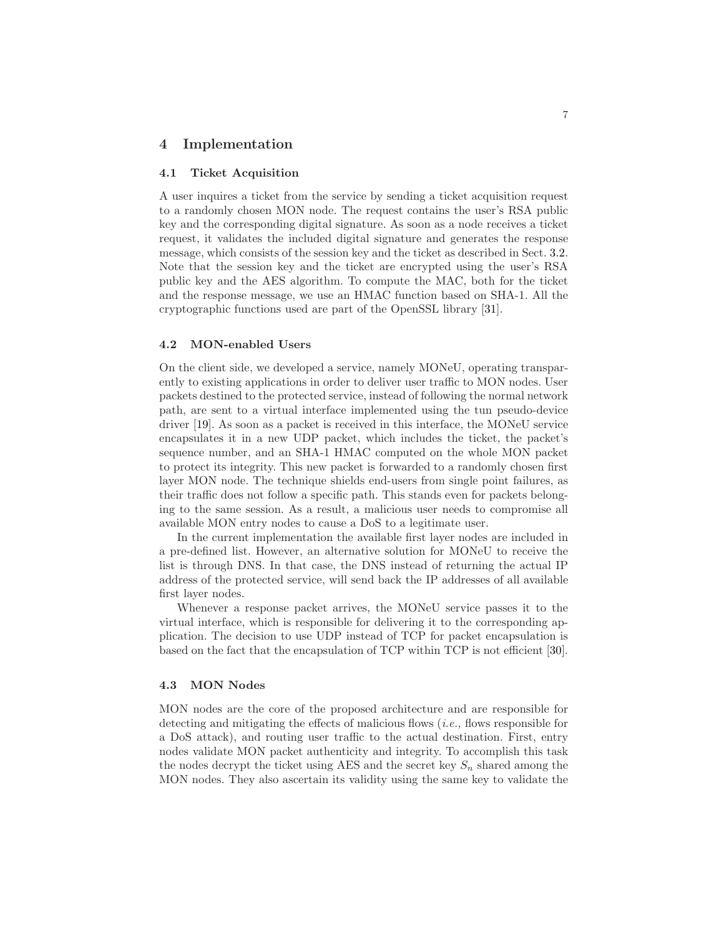### <span id="page-6-0"></span>4 Implementation

#### 4.1 Ticket Acquisition

A user inquires a ticket from the service by sending a ticket acquisition request to a randomly chosen MON node. The request contains the user's RSA public key and the corresponding digital signature. As soon as a node receives a ticket request, it validates the included digital signature and generates the response message, which consists of the session key and the ticket as described in Sect. [3.2.](#page-4-0) Note that the session key and the ticket are encrypted using the user's RSA public key and the AES algorithm. To compute the MAC, both for the ticket and the response message, we use an HMAC function based on SHA-1. All the cryptographic functions used are part of the OpenSSL library [\[31\]](#page-14-14).

#### 4.2 MON-enabled Users

On the client side, we developed a service, namely MONeU, operating transparently to existing applications in order to deliver user traffic to MON nodes. User packets destined to the protected service, instead of following the normal network path, are sent to a virtual interface implemented using the tun pseudo-device driver [\[19\]](#page-14-15). As soon as a packet is received in this interface, the MONeU service encapsulates it in a new UDP packet, which includes the ticket, the packet's sequence number, and an SHA-1 HMAC computed on the whole MON packet to protect its integrity. This new packet is forwarded to a randomly chosen first layer MON node. The technique shields end-users from single point failures, as their traffic does not follow a specific path. This stands even for packets belonging to the same session. As a result, a malicious user needs to compromise all available MON entry nodes to cause a DoS to a legitimate user.

In the current implementation the available first layer nodes are included in a pre-defined list. However, an alternative solution for MONeU to receive the list is through DNS. In that case, the DNS instead of returning the actual IP address of the protected service, will send back the IP addresses of all available first layer nodes.

Whenever a response packet arrives, the MONeU service passes it to the virtual interface, which is responsible for delivering it to the corresponding application. The decision to use UDP instead of TCP for packet encapsulation is based on the fact that the encapsulation of TCP within TCP is not efficient [\[30\]](#page-14-16).

#### 4.3 MON Nodes

MON nodes are the core of the proposed architecture and are responsible for detecting and mitigating the effects of malicious flows  $(i.e.,$  flows responsible for a DoS attack), and routing user traffic to the actual destination. First, entry nodes validate MON packet authenticity and integrity. To accomplish this task the nodes decrypt the ticket using AES and the secret key  $S_n$  shared among the MON nodes. They also ascertain its validity using the same key to validate the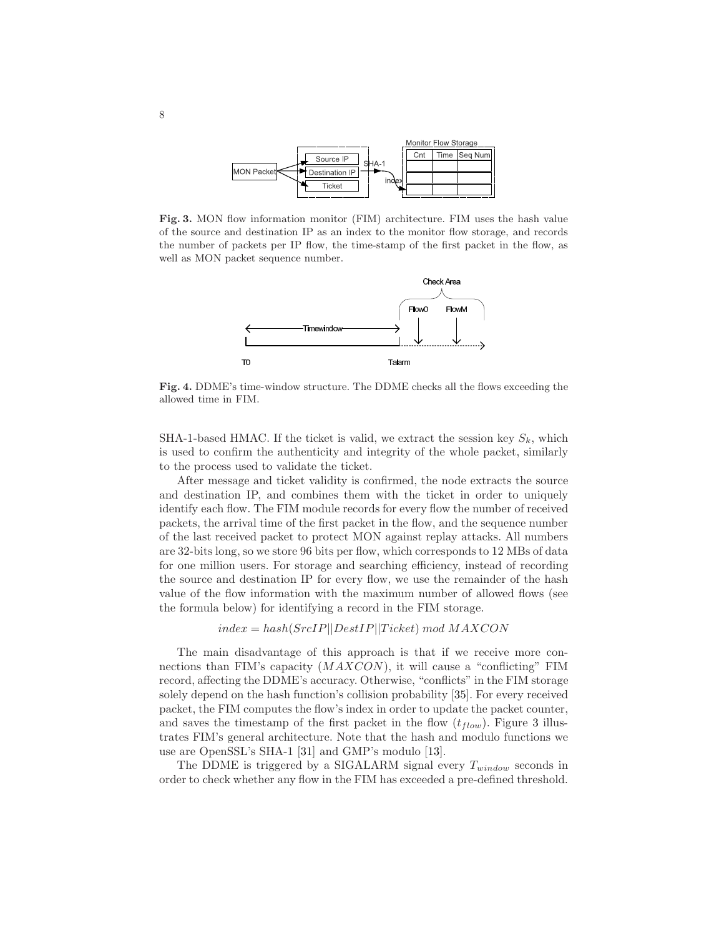

<span id="page-7-0"></span>Fig. 3. MON flow information monitor (FIM) architecture. FIM uses the hash value of the source and destination IP as an index to the monitor flow storage, and records the number of packets per IP flow, the time-stamp of the first packet in the flow, as well as MON packet sequence number.



<span id="page-7-1"></span>Fig. 4. DDME's time-window structure. The DDME checks all the flows exceeding the allowed time in FIM.

SHA-1-based HMAC. If the ticket is valid, we extract the session key  $S_k$ , which is used to confirm the authenticity and integrity of the whole packet, similarly to the process used to validate the ticket.

After message and ticket validity is confirmed, the node extracts the source and destination IP, and combines them with the ticket in order to uniquely identify each flow. The FIM module records for every flow the number of received packets, the arrival time of the first packet in the flow, and the sequence number of the last received packet to protect MON against replay attacks. All numbers are 32-bits long, so we store 96 bits per flow, which corresponds to 12 MBs of data for one million users. For storage and searching efficiency, instead of recording the source and destination IP for every flow, we use the remainder of the hash value of the flow information with the maximum number of allowed flows (see the formula below) for identifying a record in the FIM storage.

 $index = hash(SrcIP||DestIP||Ticket) \mod MAXCON$ 

The main disadvantage of this approach is that if we receive more connections than FIM's capacity  $(MAXCON)$ , it will cause a "conflicting" FIM record, affecting the DDME's accuracy. Otherwise, "conflicts" in the FIM storage solely depend on the hash function's collision probability [\[35\]](#page-14-17). For every received packet, the FIM computes the flow's index in order to update the packet counter, and saves the timestamp of the first packet in the flow  $(t_{flow})$ . Figure [3](#page-7-0) illustrates FIM's general architecture. Note that the hash and modulo functions we use are OpenSSL's SHA-1 [\[31\]](#page-14-14) and GMP's modulo [\[13\]](#page-13-13).

The DDME is triggered by a SIGALARM signal every  $T_{window}$  seconds in order to check whether any flow in the FIM has exceeded a pre-defined threshold.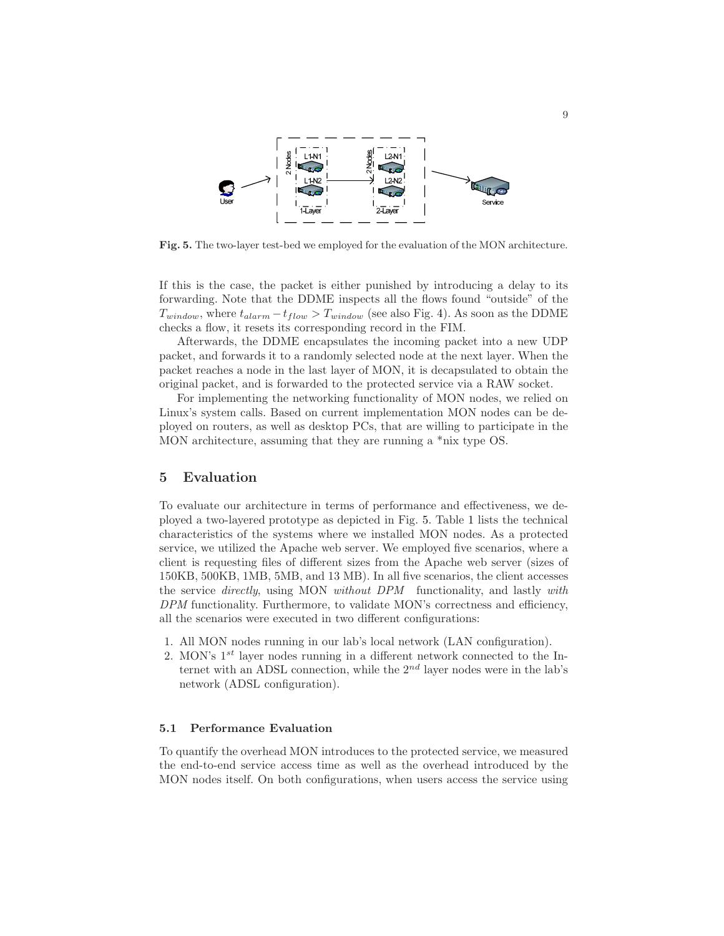

<span id="page-8-1"></span>Fig. 5. The two-layer test-bed we employed for the evaluation of the MON architecture.

If this is the case, the packet is either punished by introducing a delay to its forwarding. Note that the DDME inspects all the flows found "outside" of the  $T_{window}$ , where  $t_{alarm} - t_{flow} > T_{window}$  (see also Fig. [4\)](#page-7-1). As soon as the DDME checks a flow, it resets its corresponding record in the FIM.

Afterwards, the DDME encapsulates the incoming packet into a new UDP packet, and forwards it to a randomly selected node at the next layer. When the packet reaches a node in the last layer of MON, it is decapsulated to obtain the original packet, and is forwarded to the protected service via a RAW socket.

For implementing the networking functionality of MON nodes, we relied on Linux's system calls. Based on current implementation MON nodes can be deployed on routers, as well as desktop PCs, that are willing to participate in the MON architecture, assuming that they are running a  $\text{*mix type OS.}$ 

### <span id="page-8-0"></span>5 Evaluation

To evaluate our architecture in terms of performance and effectiveness, we deployed a two-layered prototype as depicted in Fig. [5.](#page-8-1) Table [1](#page-9-0) lists the technical characteristics of the systems where we installed MON nodes. As a protected service, we utilized the Apache web server. We employed five scenarios, where a client is requesting files of different sizes from the Apache web server (sizes of 150KB, 500KB, 1MB, 5MB, and 13 MB). In all five scenarios, the client accesses the service directly, using MON without DPM functionality, and lastly with DPM functionality. Furthermore, to validate MON's correctness and efficiency, all the scenarios were executed in two different configurations:

- 1. All MON nodes running in our lab's local network (LAN configuration).
- 2. MON's  $1^{st}$  layer nodes running in a different network connected to the Internet with an ADSL connection, while the  $2^{nd}$  layer nodes were in the lab's network (ADSL configuration).

#### 5.1 Performance Evaluation

To quantify the overhead MON introduces to the protected service, we measured the end-to-end service access time as well as the overhead introduced by the MON nodes itself. On both configurations, when users access the service using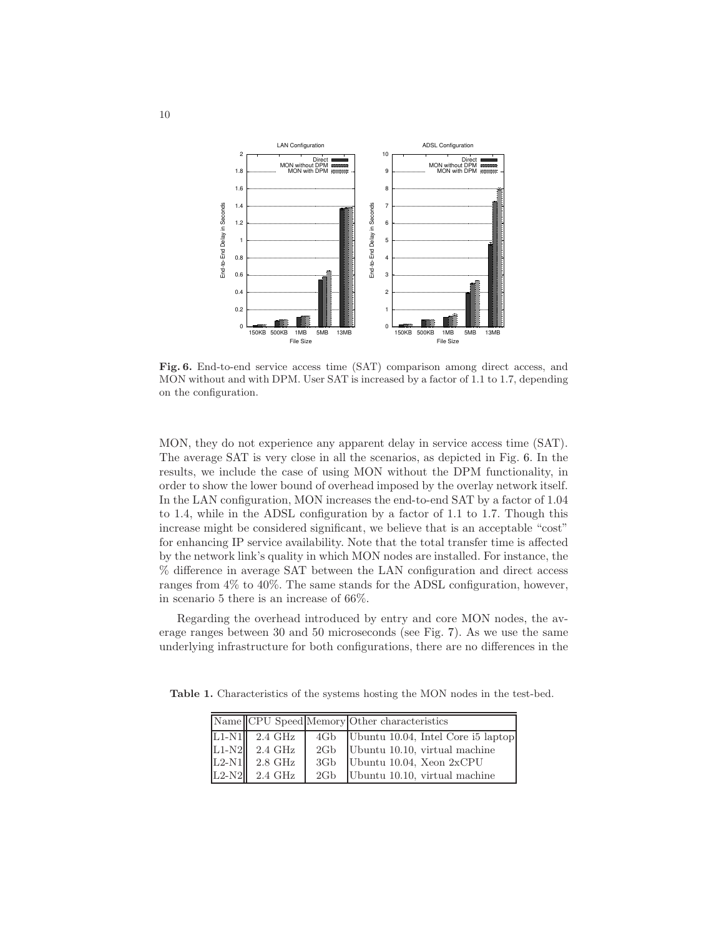

<span id="page-9-1"></span>Fig. 6. End-to-end service access time (SAT) comparison among direct access, and MON without and with DPM. User SAT is increased by a factor of 1.1 to 1.7, depending on the configuration.

MON, they do not experience any apparent delay in service access time (SAT). The average SAT is very close in all the scenarios, as depicted in Fig. [6.](#page-9-1) In the results, we include the case of using MON without the DPM functionality, in order to show the lower bound of overhead imposed by the overlay network itself. In the LAN configuration, MON increases the end-to-end SAT by a factor of 1.04 to 1.4, while in the ADSL configuration by a factor of 1.1 to 1.7. Though this increase might be considered significant, we believe that is an acceptable "cost" for enhancing IP service availability. Note that the total transfer time is affected by the network link's quality in which MON nodes are installed. For instance, the % difference in average SAT between the LAN configuration and direct access ranges from 4% to 40%. The same stands for the ADSL configuration, however, in scenario 5 there is an increase of 66%.

Regarding the overhead introduced by entry and core MON nodes, the average ranges between 30 and 50 microseconds (see Fig. [7\)](#page-10-0). As we use the same underlying infrastructure for both configurations, there are no differences in the

Table 1. Characteristics of the systems hosting the MON nodes in the test-bed.

<span id="page-9-0"></span>

|                   |                | Name CPU Speed Memory Other characteristics |
|-------------------|----------------|---------------------------------------------|
| $L1-N1$ 2.4 GHz   |                | 4Gb Ubuntu 10.04, Intel Core i5 laptop      |
| $ L1-N2 $ 2.4 GHz | $2\mathrm{Gb}$ | Ubuntu 10.10, virtual machine               |
| $ L2-N1 $ 2.8 GHz | 3Gb            | Ubuntu 10.04, Xeon 2xCPU                    |
| $ L2-N2 $ 2.4 GHz |                | 2Gb Ubuntu 10.10, virtual machine           |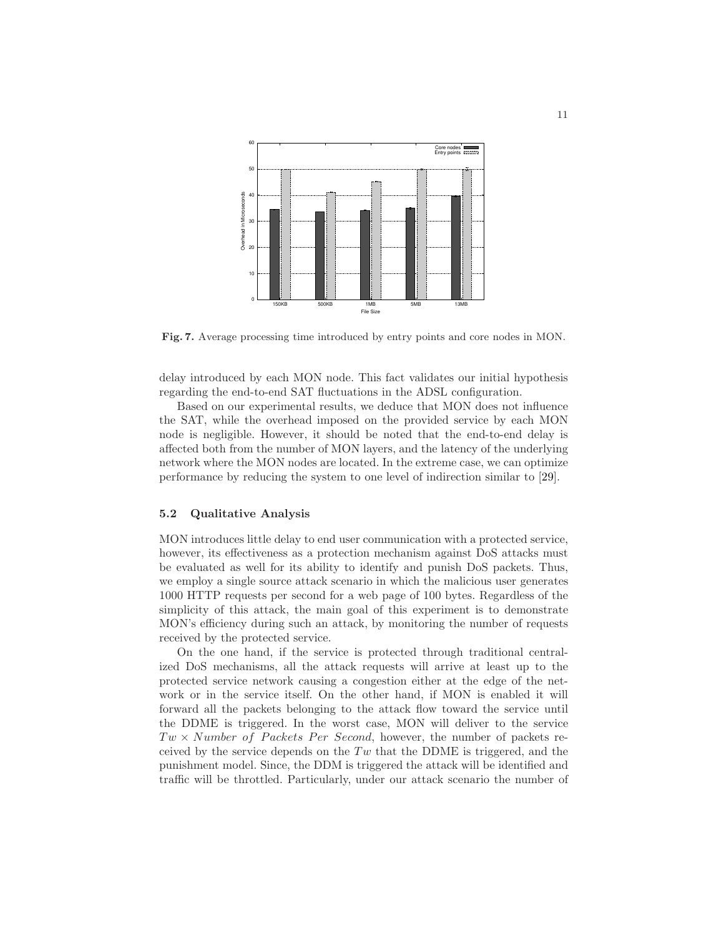

<span id="page-10-0"></span>Fig. 7. Average processing time introduced by entry points and core nodes in MON.

delay introduced by each MON node. This fact validates our initial hypothesis regarding the end-to-end SAT fluctuations in the ADSL configuration.

Based on our experimental results, we deduce that MON does not influence the SAT, while the overhead imposed on the provided service by each MON node is negligible. However, it should be noted that the end-to-end delay is affected both from the number of MON layers, and the latency of the underlying network where the MON nodes are located. In the extreme case, we can optimize performance by reducing the system to one level of indirection similar to [\[29\]](#page-14-5).

#### 5.2 Qualitative Analysis

MON introduces little delay to end user communication with a protected service, however, its effectiveness as a protection mechanism against DoS attacks must be evaluated as well for its ability to identify and punish DoS packets. Thus, we employ a single source attack scenario in which the malicious user generates 1000 HTTP requests per second for a web page of 100 bytes. Regardless of the simplicity of this attack, the main goal of this experiment is to demonstrate MON's efficiency during such an attack, by monitoring the number of requests received by the protected service.

On the one hand, if the service is protected through traditional centralized DoS mechanisms, all the attack requests will arrive at least up to the protected service network causing a congestion either at the edge of the network or in the service itself. On the other hand, if MON is enabled it will forward all the packets belonging to the attack flow toward the service until the DDME is triggered. In the worst case, MON will deliver to the service  $Tw \times Number of Packets Per Second, however, the number of packets re$ ceived by the service depends on the  $Tw$  that the DDME is triggered, and the punishment model. Since, the DDM is triggered the attack will be identified and traffic will be throttled. Particularly, under our attack scenario the number of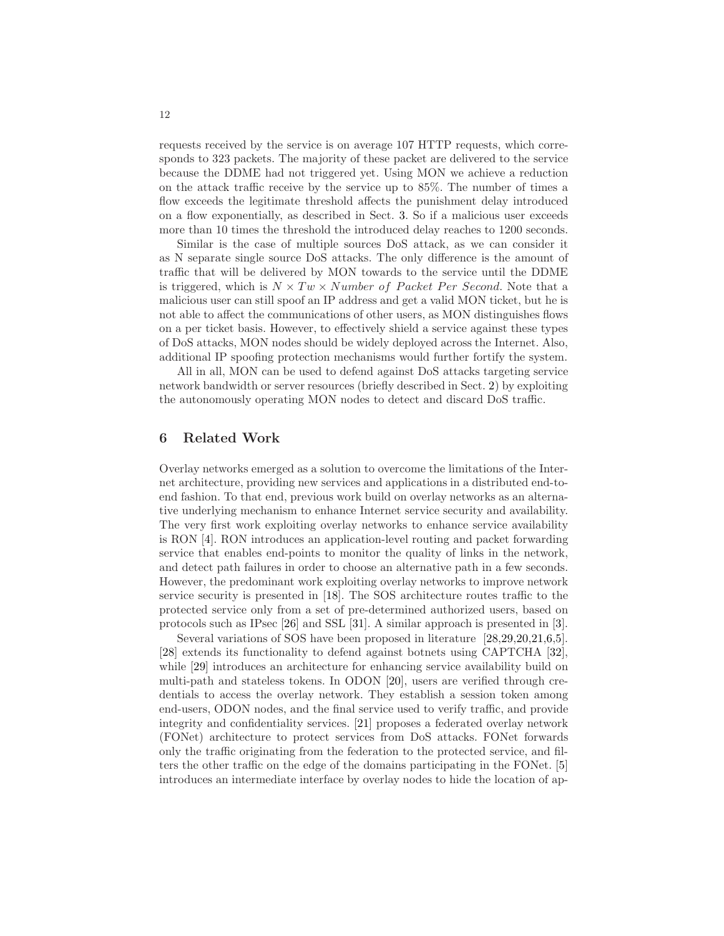requests received by the service is on average 107 HTTP requests, which corresponds to 323 packets. The majority of these packet are delivered to the service because the DDME had not triggered yet. Using MON we achieve a reduction on the attack traffic receive by the service up to 85%. The number of times a flow exceeds the legitimate threshold affects the punishment delay introduced on a flow exponentially, as described in Sect. [3.](#page-2-1) So if a malicious user exceeds more than 10 times the threshold the introduced delay reaches to 1200 seconds.

Similar is the case of multiple sources DoS attack, as we can consider it as N separate single source DoS attacks. The only difference is the amount of traffic that will be delivered by MON towards to the service until the DDME is triggered, which is  $N \times Tw \times Number$  of Packet Per Second. Note that a malicious user can still spoof an IP address and get a valid MON ticket, but he is not able to affect the communications of other users, as MON distinguishes flows on a per ticket basis. However, to effectively shield a service against these types of DoS attacks, MON nodes should be widely deployed across the Internet. Also, additional IP spoofing protection mechanisms would further fortify the system.

All in all, MON can be used to defend against DoS attacks targeting service network bandwidth or server resources (briefly described in Sect. [2\)](#page-2-0) by exploiting the autonomously operating MON nodes to detect and discard DoS traffic.

### <span id="page-11-0"></span>6 Related Work

Overlay networks emerged as a solution to overcome the limitations of the Internet architecture, providing new services and applications in a distributed end-toend fashion. To that end, previous work build on overlay networks as an alternative underlying mechanism to enhance Internet service security and availability. The very first work exploiting overlay networks to enhance service availability is RON [\[4\]](#page-13-14). RON introduces an application-level routing and packet forwarding service that enables end-points to monitor the quality of links in the network, and detect path failures in order to choose an alternative path in a few seconds. However, the predominant work exploiting overlay networks to improve network service security is presented in [\[18\]](#page-14-3). The SOS architecture routes traffic to the protected service only from a set of pre-determined authorized users, based on protocols such as IPsec [\[26\]](#page-14-18) and SSL [\[31\]](#page-14-14). A similar approach is presented in [\[3\]](#page-13-15).

Several variations of SOS have been proposed in literature [\[28](#page-14-4)[,29,](#page-14-5)[20,](#page-14-6)[21,](#page-14-7)[6](#page-13-4)[,5\]](#page-13-5). [\[28\]](#page-14-4) extends its functionality to defend against botnets using CAPTCHA [\[32\]](#page-14-10), while [\[29\]](#page-14-5) introduces an architecture for enhancing service availability build on multi-path and stateless tokens. In ODON [\[20\]](#page-14-6), users are verified through credentials to access the overlay network. They establish a session token among end-users, ODON nodes, and the final service used to verify traffic, and provide integrity and confidentiality services. [\[21\]](#page-14-7) proposes a federated overlay network (FONet) architecture to protect services from DoS attacks. FONet forwards only the traffic originating from the federation to the protected service, and filters the other traffic on the edge of the domains participating in the FONet. [\[5\]](#page-13-5) introduces an intermediate interface by overlay nodes to hide the location of ap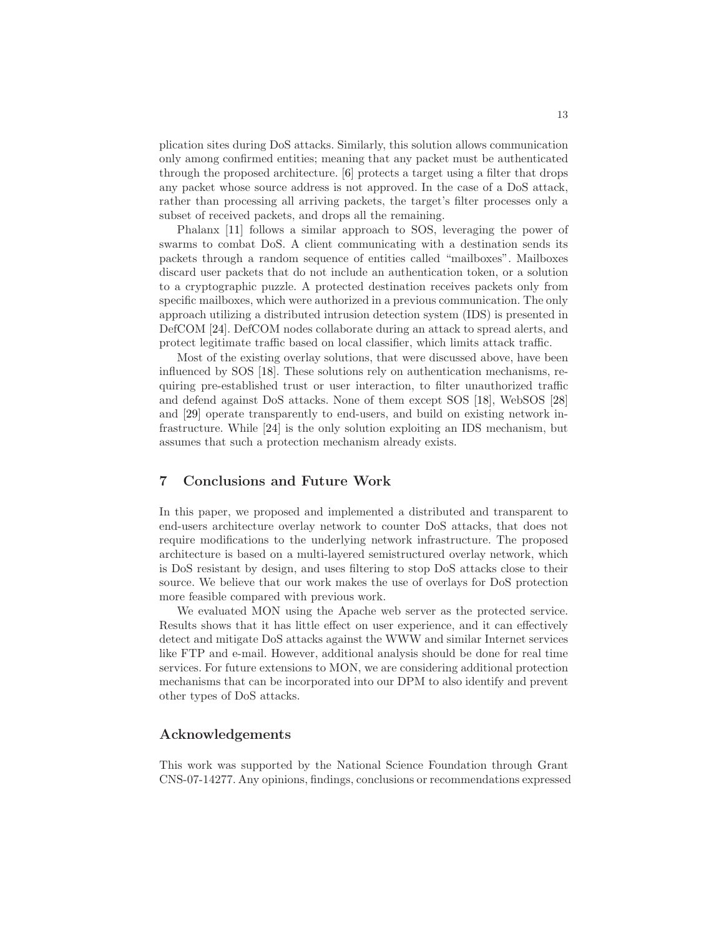plication sites during DoS attacks. Similarly, this solution allows communication only among confirmed entities; meaning that any packet must be authenticated through the proposed architecture. [\[6\]](#page-13-4) protects a target using a filter that drops any packet whose source address is not approved. In the case of a DoS attack, rather than processing all arriving packets, the target's filter processes only a subset of received packets, and drops all the remaining.

Phalanx [\[11\]](#page-13-16) follows a similar approach to SOS, leveraging the power of swarms to combat DoS. A client communicating with a destination sends its packets through a random sequence of entities called "mailboxes". Mailboxes discard user packets that do not include an authentication token, or a solution to a cryptographic puzzle. A protected destination receives packets only from specific mailboxes, which were authorized in a previous communication. The only approach utilizing a distributed intrusion detection system (IDS) is presented in DefCOM [\[24\]](#page-14-19). DefCOM nodes collaborate during an attack to spread alerts, and protect legitimate traffic based on local classifier, which limits attack traffic.

Most of the existing overlay solutions, that were discussed above, have been influenced by SOS [\[18\]](#page-14-3). These solutions rely on authentication mechanisms, requiring pre-established trust or user interaction, to filter unauthorized traffic and defend against DoS attacks. None of them except SOS [\[18\]](#page-14-3), WebSOS [\[28\]](#page-14-4) and [\[29\]](#page-14-5) operate transparently to end-users, and build on existing network infrastructure. While [\[24\]](#page-14-19) is the only solution exploiting an IDS mechanism, but assumes that such a protection mechanism already exists.

# <span id="page-12-0"></span>7 Conclusions and Future Work

In this paper, we proposed and implemented a distributed and transparent to end-users architecture overlay network to counter DoS attacks, that does not require modifications to the underlying network infrastructure. The proposed architecture is based on a multi-layered semistructured overlay network, which is DoS resistant by design, and uses filtering to stop DoS attacks close to their source. We believe that our work makes the use of overlays for DoS protection more feasible compared with previous work.

We evaluated MON using the Apache web server as the protected service. Results shows that it has little effect on user experience, and it can effectively detect and mitigate DoS attacks against the WWW and similar Internet services like FTP and e-mail. However, additional analysis should be done for real time services. For future extensions to MON, we are considering additional protection mechanisms that can be incorporated into our DPM to also identify and prevent other types of DoS attacks.

## Acknowledgements

This work was supported by the National Science Foundation through Grant CNS-07-14277. Any opinions, findings, conclusions or recommendations expressed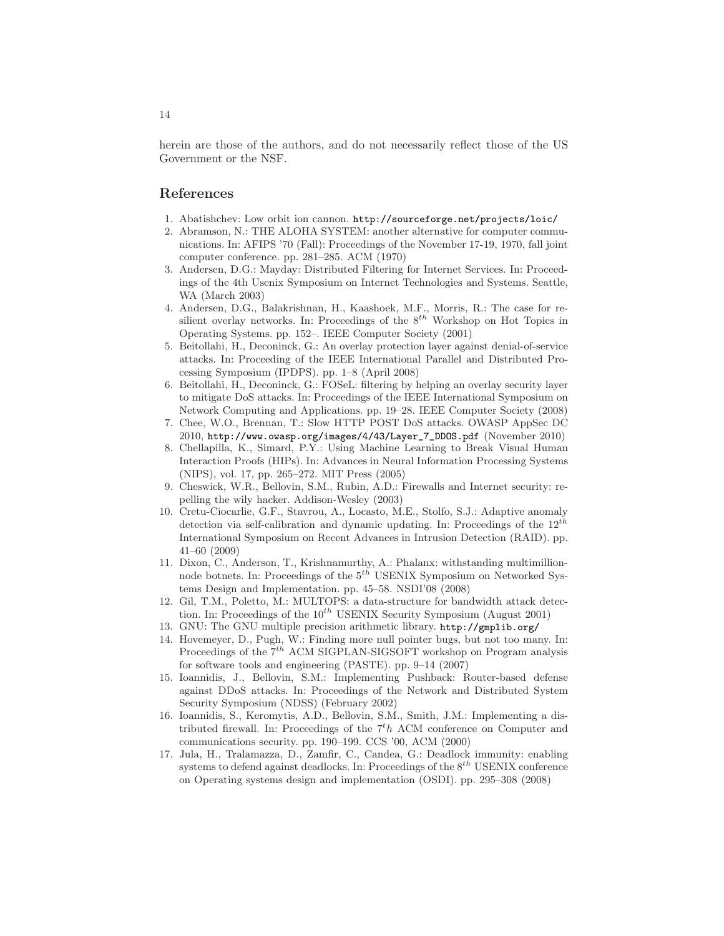herein are those of the authors, and do not necessarily reflect those of the US Government or the NSF.

### <span id="page-13-0"></span>References

- <span id="page-13-12"></span>1. Abatishchev: Low orbit ion cannon. <http://sourceforge.net/projects/loic/>
- 2. Abramson, N.: THE ALOHA SYSTEM: another alternative for computer communications. In: AFIPS '70 (Fall): Proceedings of the November 17-19, 1970, fall joint computer conference. pp. 281–285. ACM (1970)
- <span id="page-13-15"></span>3. Andersen, D.G.: Mayday: Distributed Filtering for Internet Services. In: Proceedings of the 4th Usenix Symposium on Internet Technologies and Systems. Seattle, WA (March 2003)
- <span id="page-13-14"></span>4. Andersen, D.G., Balakrishnan, H., Kaashoek, M.F., Morris, R.: The case for resilient overlay networks. In: Proceedings of the  $8^{th}$  Workshop on Hot Topics in Operating Systems. pp. 152–. IEEE Computer Society (2001)
- <span id="page-13-5"></span>5. Beitollahi, H., Deconinck, G.: An overlay protection layer against denial-of-service attacks. In: Proceeding of the IEEE International Parallel and Distributed Processing Symposium (IPDPS). pp. 1–8 (April 2008)
- <span id="page-13-4"></span>6. Beitollahi, H., Deconinck, G.: FOSeL: filtering by helping an overlay security layer to mitigate DoS attacks. In: Proceedings of the IEEE International Symposium on Network Computing and Applications. pp. 19–28. IEEE Computer Society (2008)
- <span id="page-13-8"></span>7. Chee, W.O., Brennan, T.: Slow HTTP POST DoS attacks. OWASP AppSec DC 2010, [http://www.owasp.org/images/4/43/Layer\\_7\\_DDOS.pdf](http://www.owasp.org/images/4/43/Layer_7_DDOS.pdf) (November 2010)
- <span id="page-13-6"></span>8. Chellapilla, K., Simard, P.Y.: Using Machine Learning to Break Visual Human Interaction Proofs (HIPs). In: Advances in Neural Information Processing Systems (NIPS), vol. 17, pp. 265–272. MIT Press (2005)
- <span id="page-13-7"></span>9. Cheswick, W.R., Bellovin, S.M., Rubin, A.D.: Firewalls and Internet security: repelling the wily hacker. Addison-Wesley (2003)
- <span id="page-13-11"></span>10. Cretu-Ciocarlie, G.F., Stavrou, A., Locasto, M.E., Stolfo, S.J.: Adaptive anomaly detection via self-calibration and dynamic updating. In: Proceedings of the  $12^{th}$ International Symposium on Recent Advances in Intrusion Detection (RAID). pp. 41–60 (2009)
- <span id="page-13-16"></span>11. Dixon, C., Anderson, T., Krishnamurthy, A.: Phalanx: withstanding multimillionnode botnets. In: Proceedings of the  $5^{th}$  USENIX Symposium on Networked Systems Design and Implementation. pp. 45–58. NSDI'08 (2008)
- <span id="page-13-1"></span>12. Gil, T.M., Poletto, M.: MULTOPS: a data-structure for bandwidth attack detection. In: Proceedings of the  $10^{th}$  USENIX Security Symposium (August 2001)
- <span id="page-13-13"></span><span id="page-13-9"></span>13. GNU: The GNU multiple precision arithmetic library. <http://gmplib.org/>
- 14. Hovemeyer, D., Pugh, W.: Finding more null pointer bugs, but not too many. In: Proceedings of the  $7<sup>th</sup>$  ACM SIGPLAN-SIGSOFT workshop on Program analysis for software tools and engineering (PASTE). pp. 9–14 (2007)
- <span id="page-13-2"></span>15. Ioannidis, J., Bellovin, S.M.: Implementing Pushback: Router-based defense against DDoS attacks. In: Proceedings of the Network and Distributed System Security Symposium (NDSS) (February 2002)
- <span id="page-13-3"></span>16. Ioannidis, S., Keromytis, A.D., Bellovin, S.M., Smith, J.M.: Implementing a distributed firewall. In: Proceedings of the  $7<sup>t</sup>h$  ACM conference on Computer and communications security. pp. 190–199. CCS '00, ACM (2000)
- <span id="page-13-10"></span>17. Jula, H., Tralamazza, D., Zamfir, C., Candea, G.: Deadlock immunity: enabling systems to defend against deadlocks. In: Proceedings of the  $8^{th}$  USENIX conference on Operating systems design and implementation (OSDI). pp. 295–308 (2008)